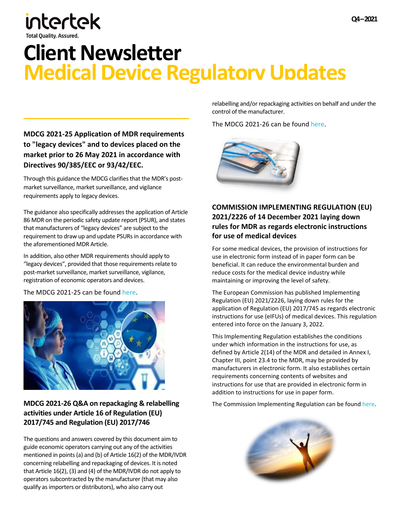# intertek

## **Client Newsletter Medical Device Regulatory Updates**

### **[MDCG 2021-25 Application of MDR requirements](https://www.qarad.com/Data/Documents/nzmz3py0/1210/MDCG-2021-25-Application-of-MDR-requirements-to-legacy-devices-and-to-devices-placed-on-the-market-prior-to-26-May-2021-in-accordance-with-MDD-or-AIMDD.pdf)  [to "legacy devices" and to devices placed on the](https://www.qarad.com/Data/Documents/nzmz3py0/1210/MDCG-2021-25-Application-of-MDR-requirements-to-legacy-devices-and-to-devices-placed-on-the-market-prior-to-26-May-2021-in-accordance-with-MDD-or-AIMDD.pdf)  [market prior to 26 May 2021 in accordance with](https://www.qarad.com/Data/Documents/nzmz3py0/1210/MDCG-2021-25-Application-of-MDR-requirements-to-legacy-devices-and-to-devices-placed-on-the-market-prior-to-26-May-2021-in-accordance-with-MDD-or-AIMDD.pdf)  [Directives 90/385/EEC or 93/42/EEC.](https://www.qarad.com/Data/Documents/nzmz3py0/1210/MDCG-2021-25-Application-of-MDR-requirements-to-legacy-devices-and-to-devices-placed-on-the-market-prior-to-26-May-2021-in-accordance-with-MDD-or-AIMDD.pdf)**

Through this guidance the MDCG clarifies that the MDR's postmarket surveillance, market surveillance, and vigilance requirements apply to legacy devices.

The guidance also specifically addresses the application of Article 86 MDR on the periodic safety update report (PSUR), and states that manufacturers of "legacy devices" are subject to the requirement to draw up and update PSURs in accordance with the aforementioned MDR Article.

In addition, also other MDR requirements should apply to "legacy devices", provided that those requirements relate to post-market surveillance, market surveillance, vigilance, registration of economic operators and devices.

The MDCG 2021-25 can be found [here.](https://ec.europa.eu/health/sites/default/files/md_sector/docs/md_mdcg_2021_25_en.pdf)



#### **MDCG 2021-26 Q&A on [repackaging](https://www.qarad.com/Data/Documents/nzmz3py0/1211/MDCG-2021-26-QA-on-repackaging--relabelling-activities-under-Article-16-of-MDR-and-IVDR.pdf) & relabelling activities under Article 16 of [Regulation](https://www.qarad.com/Data/Documents/nzmz3py0/1211/MDCG-2021-26-QA-on-repackaging--relabelling-activities-under-Article-16-of-MDR-and-IVDR.pdf) (EU) 2017/745 and [Regulation](https://www.qarad.com/Data/Documents/nzmz3py0/1211/MDCG-2021-26-QA-on-repackaging--relabelling-activities-under-Article-16-of-MDR-and-IVDR.pdf) (EU) 2017/746**

The questions and answers covered by this document aim to guide economic operators carrying out any of the activities mentioned in points(a) and (b) of Article 16(2) of the MDR/IVDR concerning relabelling and repackaging of devices. It is noted that Article 16(2), (3) and (4) of the MDR/IVDR do not apply to operators subcontracted by the manufacturer (that may also qualify asimporters or distributors), who also carry out

relabelling and/or repackaging activities on behalf and under the control of the manufacturer.

The MDCG 2021-26 can be found [here.](https://ec.europa.eu/health/sites/default/files/md_sector/docs/md_mdcg_2021_26_en.pdf)



#### **COMMISSION IMPLEMENTING REGULATION (EU) 2021/2226 of 14 December 2021 laying down rules for MDR as regards electronic instructions for use of medical devices**

For some medical devices, the provision of instructions for use in electronic form instead of in paper form can be beneficial. It can reduce the environmental burden and reduce costs for the medical device industry while maintaining or improving the level of safety.

The European Commission has published Implementing Regulation (EU) 2021/2226, laying down rules for the application of Regulation (EU) 2017/745 as regards electronic instructions for use (eIFUs) of medical devices. This regulation entered into force on the January 3, 2022.

This Implementing Regulation establishes the conditions under which information in the instructions for use, as defined by Article 2(14) of the MDR and detailed in Annex I, Chapter III, point 23.4 to the MDR, may be provided by manufacturers in electronic form. It also establishes certain requirements concerning contents of websites and instructions for use that are provided in electronic form in addition to instructions for use in paper form.

The Commission Implementing Regulation can be found [here.](https://eur-lex.europa.eu/eli/reg_impl/2021/2226/oj)